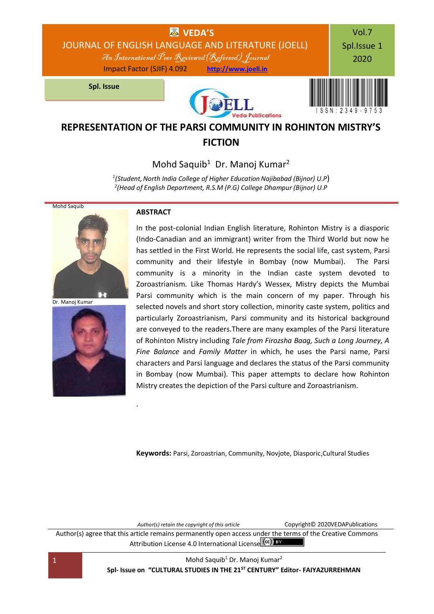

# **REPRESENTATION OF THE PARSI COMMUNITY IN ROHINTON MISTRY'S FICTION**

Mohd Saquib<sup>1</sup> Dr. Manoj Kumar<sup>2</sup>

*1 (Student,North India College of Higher Education Najibabad (Bijnor) U.P*) *2 (Head of English Department, R.S.M (P.G) College Dhampur (Bijnor) U.P*



Dr. Manoj Kumar



### **ABSTRACT**

.

In the post-colonial Indian English literature, Rohinton Mistry is a diasporic (Indo-Canadian and an immigrant) writer from the Third World but now he has settled in the First World. He represents the social life, cast system, Parsi community and their lifestyle in Bombay (now Mumbai). The Parsi community is a minority in the Indian caste system devoted to Zoroastrianism. Like Thomas Hardy's Wessex, Mistry depicts the Mumbai Parsi community which is the main concern of my paper. Through his selected novels and short story collection, minority caste system, politics and particularly Zoroastrianism, Parsi community and its historical background are conveyed to the readers.There are many examples of the Parsi literature of Rohinton Mistry including *Tale from Firozsha Baag, Such a Long Journey, A Fine Balance* and *Family Matter* in which, he uses the Parsi name, Parsi characters and Parsi language and declares the status of the Parsi community in Bombay (now Mumbai). This paper attempts to declare how Rohinton Mistry creates the depiction of the Parsi culture and Zoroastrianism.

**Keywords:** Parsi, Zoroastrian, Community, Novjote, Diasporic,Cultural Studies

*Author(s) retain the copyright of this article* Copyright© 2020VEDAPublications Author(s) agree that this article remains permanently open access under the terms of the Creative Commons Attribution Lic[e](http://creativecommons.org/licenses/by/4.0/)nse 4.0 International License (CC) BY

1 Mohd Saquib<sup>1</sup> Dr. Manoj Kumar<sup>2</sup> **Spl- Issue on "CULTURAL STUDIES IN THE 21ST CENTURY" Editor- FAIYAZURREHMAN**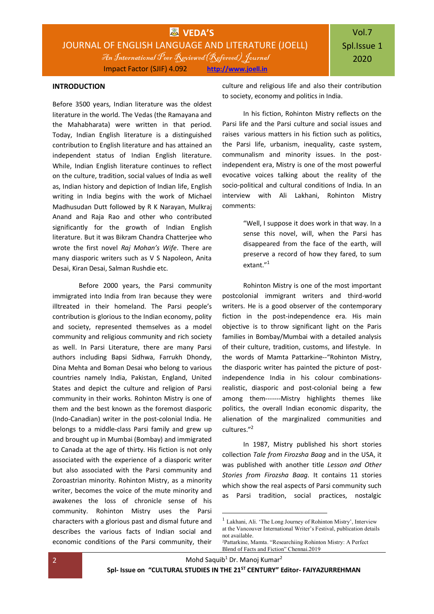### **INTRODUCTION**

Before 3500 years, Indian literature was the oldest literature in the world. The Vedas (the Ramayana and the Mahabharata) were written in that period. Today, Indian English literature is a distinguished contribution to English literature and has attained an independent status of Indian English literature. While, Indian English literature continues to reflect on the culture, tradition, social values of India as well as, Indian history and depiction of Indian life, English writing in India begins with the work of Michael Madhusudan Dutt followed by R K Narayan, Mulkraj Anand and Raja Rao and other who contributed significantly for the growth of Indian English literature. But it was Bikram Chandra Chatterjee who wrote the first novel *Raj Mohan's Wife*. There are many diasporic writers such as V S Napoleon, Anita Desai, Kiran Desai, Salman Rushdie etc.

Before 2000 years, the Parsi community immigrated into India from Iran because they were illtreated in their homeland. The Parsi people's contribution is glorious to the Indian economy, polity and society, represented themselves as a model community and religious community and rich society as well. In Parsi Literature, there are many Parsi authors including Bapsi Sidhwa, Farrukh Dhondy, Dina Mehta and Boman Desai who belong to various countries namely India, Pakistan, England, United States and depict the culture and religion of Parsi community in their works. Rohinton Mistry is one of them and the best known as the foremost diasporic (Indo-Canadian) writer in the post-colonial India. He belongs to a middle-class Parsi family and grew up and brought up in Mumbai (Bombay) and immigrated to Canada at the age of thirty. His fiction is not only associated with the experience of a diasporic writer but also associated with the Parsi community and Zoroastrian minority. Rohinton Mistry, as a minority writer, becomes the voice of the mute minority and awakenes the loss of chronicle sense of his community. Rohinton Mistry uses the Parsi characters with a glorious past and dismal future and describes the various facts of Indian social and economic conditions of the Parsi community, their

culture and religious life and also their contribution to society, economy and politics in India.

In his fiction, Rohinton Mistry reflects on the Parsi life and the Parsi culture and social issues and raises various matters in his fiction such as politics, the Parsi life, urbanism, inequality, caste system, communalism and minority issues. In the postindependent era, Mistry is one of the most powerful evocative voices talking about the reality of the socio-political and cultural conditions of India. In an interview with Ali Lakhani, Rohinton Mistry comments:

> "Well, I suppose it does work in that way. In a sense this novel, will, when the Parsi has disappeared from the face of the earth, will preserve a record of how they fared, to sum extant."<sup>1</sup>

Rohinton Mistry is one of the most important postcolonial immigrant writers and third-world writers. He is a good observer of the contemporary fiction in the post-independence era. His main objective is to throw significant light on the Paris families in Bombay/Mumbai with a detailed analysis of their culture, tradition, customs, and lifestyle. In the words of Mamta Pattarkine--"Rohinton Mistry, the diasporic writer has painted the picture of postindependence India in his colour combinationsrealistic, diasporic and post-colonial being a few among them-------Mistry highlights themes like politics, the overall Indian economic disparity, the alienation of the marginalized communities and cultures."<sup>2</sup>

In 1987, Mistry published his short stories collection *Tale from Firozsha Baag* and in the USA, it was published with another title *Lesson and Other Stories from Firozsha Baag.* It contains 11 stories which show the real aspects of Parsi community such as Parsi tradition, social practices, nostalgic

2 Mohd Saquib<sup>1</sup> Dr. Manoj Kumar<sup>2</sup>

**.** 

 $^{\rm l}$  Lakhani, Ali. 'The Long Journey of Rohinton Mistry', Interview at the Vancouver International Writer's Festival, publication details not available.

<sup>2</sup>Pattarkine, Mamta. "Researchiing Rohinton Mistry: A Perfect Blend of Facts and Fiction" Chennai.2019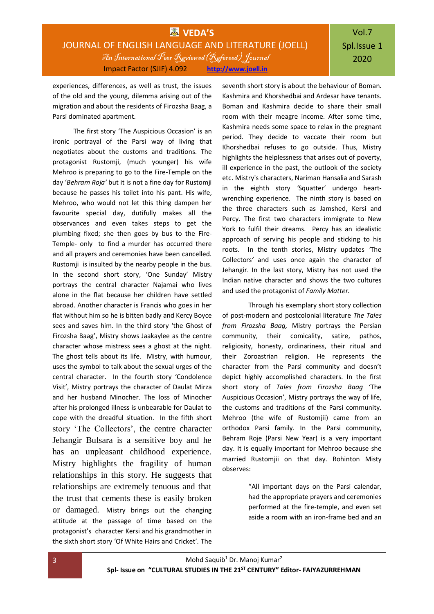## **WEDA'S** JOURNAL OF ENGLISH LANGUAGE AND LITERATURE (JOELL) An International Peer Reviewed(Refereed) Journal Impact Factor (SJIF) 4.092 **[http://www.joell.in](http://www.joell.in/)**

# Vol.7 Spl.Issue 1 2020

experiences, differences, as well as trust, the issues of the old and the young, dilemma arising out of the migration and about the residents of Firozsha Baag, a Parsi dominated apartment.

The first story 'The Auspicious Occasion' is an ironic portrayal of the Parsi way of living that negotiates about the customs and traditions. The protagonist Rustomji, (much younger) his wife Mehroo is preparing to go to the Fire-Temple on the day '*Behram Roja'* but it is not a fine day for Rustomji because he passes his toilet into his pant. His wife, Mehroo, who would not let this thing dampen her favourite special day, dutifully makes all the observances and even takes steps to get the plumbing fixed; she then goes by bus to the Fire-Temple- only to find a murder has occurred there and all prayers and ceremonies have been cancelled. Rustomji is insulted by the nearby people in the bus. In the second short story, 'One Sunday' Mistry portrays the central character Najamai who lives alone in the flat because her children have settled abroad. Another character is Francis who goes in her flat without him so he is bitten badly and Kercy Boyce sees and saves him. In the third story 'the Ghost of Firozsha Baag', Mistry shows Jaakaylee as the centre character whose mistress sees a ghost at the night. The ghost tells about its life. Mistry, with humour, uses the symbol to talk about the sexual urges of the central character. In the fourth story 'Condolence Visit', Mistry portrays the character of Daulat Mirza and her husband Minocher. The loss of Minocher after his prolonged illness is unbearable for Daulat to cope with the dreadful situation. In the fifth short story 'The Collectors', the centre character Jehangir Bulsara is a sensitive boy and he has an unpleasant childhood experience. Mistry highlights the fragility of human relationships in this story. He suggests that relationships are extremely tenuous and that the trust that cements these is easily broken or damaged. Mistry brings out the changing attitude at the passage of time based on the protagonist's character Kersi and his grandmother in the sixth short story 'Of White Hairs and Cricket'*.* The

seventh short story is about the behaviour of Boman. Kashmira and Khorshedbai and Ardesar have tenants. Boman and Kashmira decide to share their small room with their meagre income. After some time, Kashmira needs some space to relax in the pregnant period. They decide to vaccate their room but Khorshedbai refuses to go outside. Thus, Mistry highlights the helplessness that arises out of poverty, ill experience in the past, the outlook of the society etc. Mistry's characters, Nariman Hansalia and Sarash in the eighth story *'*Squatter' undergo heartwrenching experience. The ninth story is based on the three characters such as Jamshed, Kersi and Percy. The first two characters immigrate to New York to fulfil their dreams. Percy has an idealistic approach of serving his people and sticking to his roots. In the tenth stories, Mistry updates *'*The Collectors*'* and uses once again the character of Jehangir. In the last story, Mistry has not used the Indian native character and shows the two cultures and used the protagonist of *Family Matter.* 

Through his exemplary short story collection of post-modern and postcolonial literature *The Tales from Firozsha Baag,* Mistry portrays the Persian community, their comicality, satire, pathos, religiosity, honesty, ordinariness, their ritual and their Zoroastrian religion. He represents the character from the Parsi community and doesn't depict highly accomplished characters. In the first short story of *Tales from Firozsha Baag* 'The Auspicious Occasion', Mistry portrays the way of life, the customs and traditions of the Parsi community. Mehroo (the wife of Rustomjii) came from an orthodox Parsi family. In the Parsi community, Behram Roje (Parsi New Year) is a very important day. It is equally important for Mehroo because she married Rustomjii on that day. Rohinton Misty observes:

> "All important days on the Parsi calendar, had the appropriate prayers and ceremonies performed at the fire-temple, and even set aside a room with an iron-frame bed and an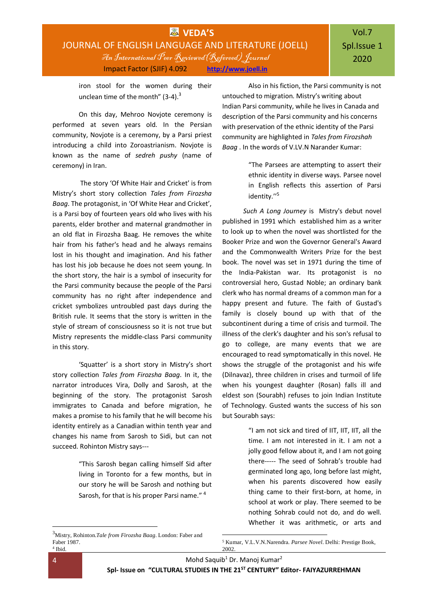iron stool for the women during their unclean time of the month"  $(3-4)$ .<sup>3</sup>

On this day, Mehroo Novjote ceremony is performed at seven years old. In the Persian community, Novjote is a ceremony, by a Parsi priest introducing a child into Zoroastrianism. Novjote is known as the name of *sedreh pushy* (name of ceremony) in Iran.

The story 'Of White Hair and Cricket' is from Mistry's short story collection *Tales from Firozsha Baag*. The protagonist, in 'Of White Hear and Cricket', is a Parsi boy of fourteen years old who lives with his parents, elder brother and maternal grandmother in an old flat in Firozsha Baag. He removes the white hair from his father's head and he always remains lost in his thought and imagination. And his father has lost his job because he does not seem young. In the short story, the hair is a symbol of insecurity for the Parsi community because the people of the Parsi community has no right after independence and cricket symbolizes untroubled past days during the British rule. It seems that the story is written in the style of stream of consciousness so it is not true but Mistry represents the middle-class Parsi community in this story.

'Squatter' is a short story in Mistry's short story collection *Tales from Firozsha Baag*. In it, the narrator introduces Vira, Dolly and Sarosh, at the beginning of the story. The protagonist Sarosh immigrates to Canada and before migration, he makes a promise to his family that he will become his identity entirely as a Canadian within tenth year and changes his name from Sarosh to Sidi, but can not succeed. Rohinton Mistry says---

> "This Sarosh began calling himself Sid after living in Toronto for a few months, but in our story he will be Sarosh and nothing but Sarosh, for that is his proper Parsi name." <sup>4</sup>

<sup>3</sup>Mistry, Rohinton.*Tale from Firozsha Baag*. London: Faber and Faber 1987. 4 Ibid.

Also in his fiction, the Parsi community is not untouched to migration. Mistry's writing about Indian Parsi community, while he lives in Canada and description of the Parsi community and his concerns with preservation of the ethnic identity of the Parsi community are highlighted in *Tales from Firozshah Baag* . In the words of V.LV.N Narander Kumar:

> "The Parsees are attempting to assert their ethnic identity in diverse ways. Parsee novel in English reflects this assertion of Parsi identity."<sup>5</sup>

*Such A Long Journey* is Mistry's debut novel published in 1991 which established him as a writer to look up to when the novel was shortlisted for the Booker Prize and won the Governor General's Award and the Commonwealth Writers Prize for the best book. The novel was set in 1971 during the time of the India-Pakistan war. Its protagonist is no controversial hero, Gustad Noble; an ordinary bank clerk who has normal dreams of a common man for a happy present and future. The faith of Gustad's family is closely bound up with that of the subcontinent during a time of crisis and turmoil. The illness of the clerk's daughter and his son's refusal to go to college, are many events that we are encouraged to read symptomatically in this novel. He shows the struggle of the protagonist and his wife (Dilnavaz), three children in crises and turmoil of life when his youngest daughter (Rosan) falls ill and eldest son (Sourabh) refuses to join Indian Institute of Technology. Gusted wants the success of his son but Sourabh says:

> "I am not sick and tired of IIT, IIT, IIT, all the time. I am not interested in it. I am not a jolly good fellow about it, and I am not going there----- The seed of Sohrab's trouble had germinated long ago, long before last might, when his parents discovered how easily thing came to their first-born, at home, in school at work or play. There seemed to be nothing Sohrab could not do, and do well. Whether it was arithmetic, or arts and

4 Mohd Saquib<sup>1</sup> Dr. Manoj Kumar<sup>2</sup>

**.** 

1

<sup>5</sup> Kumar, V.L.V.N.Narendra. *Parsee Novel*. Delhi: Prestige Book, 2002.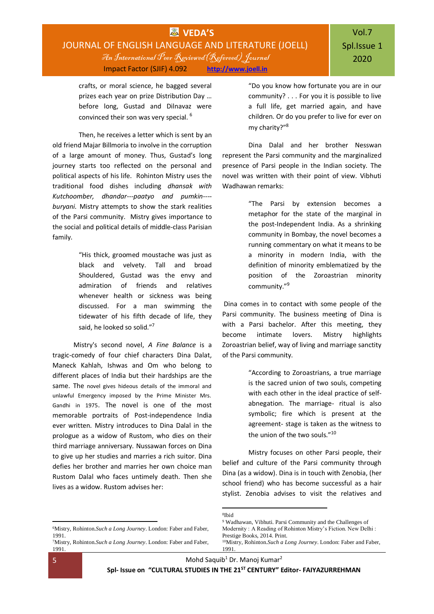## **WAS** VEDA'S JOURNAL OF ENGLISH LANGUAGE AND LITERATURE (JOELL) An International Peer Reviewed(Refereed) Journal Impact Factor (SJIF) 4.092 **[http://www.joell.in](http://www.joell.in/)**

crafts, or moral science, he bagged several prizes each year on prize Distribution Day … before long, Gustad and Dilnavaz were convinced their son was very special. <sup>6</sup>

Then, he receives a letter which is sent by an old friend Majar Billmoria to involve in the corruption of a large amount of money. Thus, Gustad's long journey starts too reflected on the personal and political aspects of his life. Rohinton Mistry uses the traditional food dishes including *dhansak with Kutchoomber, dhandar---paatyo and pumkin--- buryani.* Mistry attempts to show the stark realities of the Parsi community. Mistry gives importance to the social and political details of middle-class Parisian family.

> "His thick, groomed moustache was just as black and velvety. Tall and broad Shouldered, Gustad was the envy and admiration of friends and relatives whenever health or sickness was being discussed. For a man swimming the tidewater of his fifth decade of life, they said, he looked so solid."<sup>7</sup>

Mistry's second novel, *A Fine Balance* is a tragic-comedy of four chief characters Dina Dalat, Maneck Kahlah, Ishwas and Om who belong to different places of India but their hardships are the same. The novel gives hideous details of the immoral and unlawful Emergency imposed by the Prime Minister Mrs. Gandhi in 1975. The novel is one of the most memorable portraits of Post-independence India ever written. Mistry introduces to Dina Dalal in the prologue as a widow of Rustom, who dies on their third marriage anniversary. Nussawan forces on Dina to give up her studies and marries a rich suitor. Dina defies her brother and marries her own choice man Rustom Dalal who faces untimely death. Then she lives as a widow. Rustom advises her:

"Do you know how fortunate you are in our community? . . . For you it is possible to live a full life, get married again, and have children. Or do you prefer to live for ever on my charity?"<sup>8</sup>

Dina Dalal and her brother Nesswan represent the Parsi community and the marginalized presence of Parsi people in the Indian society. The novel was written with their point of view. Vibhuti Wadhawan remarks:

> "The Parsi by extension becomes a metaphor for the state of the marginal in the post-Independent India. As a shrinking community in Bombay, the novel becomes a running commentary on what it means to be a minority in modern India, with the definition of minority emblematized by the position of the Zoroastrian minority community." 9

Dina comes in to contact with some people of the Parsi community. The business meeting of Dina is with a Parsi bachelor. After this meeting, they become intimate lovers. Mistry highlights Zoroastrian belief, way of living and marriage sanctity of the Parsi community.

> "According to Zoroastrians, a true marriage is the sacred union of two souls, competing with each other in the ideal practice of selfabnegation. The marriage- ritual is also symbolic; fire which is present at the agreement- stage is taken as the witness to the union of the two souls."<sup>10</sup>

Mistry focuses on other Parsi people, their belief and culture of the Parsi community through Dina (as a widow). Dina is in touch with Zenobia, (her school friend) who has become successful as a hair stylist. Zenobia advises to visit the relatives and

1 8 Ibid

-

<sup>6</sup>Mistry, Rohinton.*Such a Long Journey*. London: Faber and Faber, 1991.

<sup>7</sup>Mistry, Rohinton.*Such a Long Journey*. London: Faber and Faber, 1991.

<sup>9</sup> Wadhawan, Vibhuti. Parsi Community and the Challenges of Modernity : A Reading of Rohinton Mistry's Fiction. New Delhi : Prestige Books, 2014. Print. <sup>10</sup>Mistry, Rohinton.*Such a Long Journey*. London: Faber and Faber, 1991.

<sup>5</sup> Mohd Saquib<sup>1</sup> Dr. Manoj Kumar<sup>2</sup>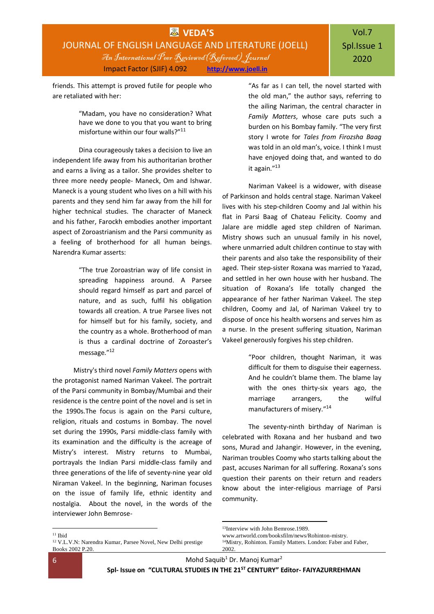## **VEDA'S** JOURNAL OF ENGLISH LANGUAGE AND LITERATURE (JOELL) An International Peer Reviewed(Refereed) Journal Impact Factor (SJIF) 4.092 **[http://www.joell.in](http://www.joell.in/)**

friends. This attempt is proved futile for people who are retaliated with her:

> "Madam, you have no consideration? What have we done to you that you want to bring misfortune within our four walls?"<sup>11</sup>

Dina courageously takes a decision to live an independent life away from his authoritarian brother and earns a living as a tailor. She provides shelter to three more needy people- Maneck, Om and Ishwar. Maneck is a young student who lives on a hill with his parents and they send him far away from the hill for higher technical studies. The character of Maneck and his father, Farockh embodies another important aspect of Zoroastrianism and the Parsi community as a feeling of brotherhood for all human beings. Narendra Kumar asserts:

> "The true Zoroastrian way of life consist in spreading happiness around. A Parsee should regard himself as part and parcel of nature, and as such, fulfil his obligation towards all creation. A true Parsee lives not for himself but for his family, society, and the country as a whole. Brotherhood of man is thus a cardinal doctrine of Zoroaster's message."<sup>12</sup>

Mistry's third novel *Family Matters* opens with the protagonist named Nariman Vakeel. The portrait of the Parsi community in Bombay/Mumbai and their residence is the centre point of the novel and is set in the 1990s.The focus is again on the Parsi culture, religion, rituals and costums in Bombay. The novel set during the 1990s, Parsi middle-class family with its examination and the difficulty is the acreage of Mistry's interest. Mistry returns to Mumbai, portrayals the Indian Parsi middle-class family and three generations of the life of seventy-nine year old Niraman Vakeel. In the beginning, Nariman focuses on the issue of family life, ethnic identity and nostalgia. About the novel, in the words of the interviewer John Bemrose"As far as I can tell, the novel started with the old man," the author says, referring to the ailing Nariman, the central character in *Family Matters*, whose care puts such a burden on his Bombay family. "The very first story I wrote for *Tales from Firozsha Baag* was told in an old man's, voice. I think I must have enjoyed doing that, and wanted to do it again."<sup>13</sup>

Nariman Vakeel is a widower, with disease of Parkinson and holds central stage. Nariman Vakeel lives with his step-children Coomy and Jal within his flat in Parsi Baag of Chateau Felicity. Coomy and Jalare are middle aged step children of Nariman. Mistry shows such an unusual family in his novel, where unmarried adult children continue to stay with their parents and also take the responsibility of their aged. Their step-sister Roxana was married to Yazad, and settled in her own house with her husband. The situation of Roxana's life totally changed the appearance of her father Nariman Vakeel. The step children, Coomy and Jal, of Nariman Vakeel try to dispose of once his health worsens and serves him as a nurse. In the present suffering situation, Nariman Vakeel generously forgives his step children.

> "Poor children, thought Nariman, it was difficult for them to disguise their eagerness. And he couldn't blame them. The blame lay with the ones thirty-six years ago, the marriage arrangers, the wilful manufacturers of misery." 14

The seventy-ninth birthday of Nariman is celebrated with Roxana and her husband and two sons, Murad and Jahangir. However, in the evening, Nariman troubles Coomy who starts talking about the past, accuses Nariman for all suffering. Roxana's sons question their parents on their return and readers know about the inter-religious marriage of Parsi community.

<sup>11</sup> Ibid

**.** 

6 Mohd Saquib<sup>1</sup> Dr. Manoj Kumar<sup>2</sup>

<sup>-</sup><sup>13</sup>Interview with John Bemrose.1989.

www.artworld.com/booksfilm/news/Rohinton-mistry.

<sup>14</sup>Mistry, Rohinton. Family Matters. London: Faber and Faber, 2002.

<sup>12</sup> V.L.V.N: Narendra Kumar, Parsee Novel, New Delhi prestige Books 2002 P.20.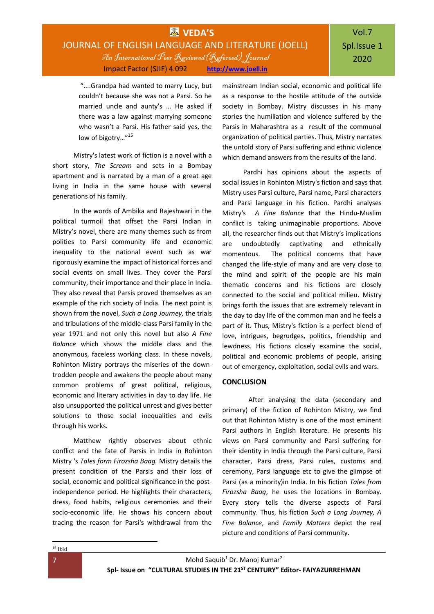## **WAS** VEDA'S JOURNAL OF ENGLISH LANGUAGE AND LITERATURE (JOELL) An International Peer Reviewed(Refereed) Journal Impact Factor (SJIF) 4.092 **[http://www.joell.in](http://www.joell.in/)**

"....Grandpa had wanted to marry Lucy, but couldn't because she was not a Parsi. So he married uncle and aunty's … He asked if there was a law against marrying someone who wasn't a Parsi. His father said yes, the low of bigotry..."<sup>15</sup>

Mistry's latest work of fiction is a novel with a short story, *The Scream* and sets in a Bombay apartment and is narrated by a man of a great age living in India in the same house with several generations of his family.

In the words of Ambika and Rajeshwari in the political turmoil that offset the Parsi Indian in Mistry's novel, there are many themes such as from polities to Parsi community life and economic inequality to the national event such as war rigorously examine the impact of historical forces and social events on small lives. They cover the Parsi community, their importance and their place in India. They also reveal that Parsis proved themselves as an example of the rich society of India. The next point is shown from the novel, *Such a Long Journey,* the trials and tribulations of the middle-class Parsi family in the year 1971 and not only this novel but also *A Fine Balance* which shows the middle class and the anonymous, faceless working class. In these novels, Rohinton Mistry portrays the miseries of the downtrodden people and awakens the people about many common problems of great political, religious, economic and literary activities in day to day life. He also unsupported the political unrest and gives better solutions to those social inequalities and evils through his works.

Matthew rightly observes about ethnic conflict and the fate of Parsis in India in Rohinton Mistry 's *Tales form Firozsha Baag.* Mistry details the present condition of the Parsis and their loss of social, economic and political significance in the postindependence period. He highlights their characters, dress, food habits, religious ceremonies and their socio-economic life. He shows his concern about tracing the reason for Parsi's withdrawal from the

mainstream Indian social, economic and political life as a response to the hostile attitude of the outside society in Bombay. Mistry discusses in his many stories the humiliation and violence suffered by the Parsis in Maharashtra as a result of the communal organization of political parties. Thus, Mistry narrates the untold story of Parsi suffering and ethnic violence which demand answers from the results of the land.

Pardhi has opinions about the aspects of social issues in Rohinton Mistry's fiction and says that Mistry uses Parsi culture, Parsi name, Parsi characters and Parsi language in his fiction. Pardhi analyses Mistry's *A Fine Balance* that the Hindu-Muslim conflict is taking unimaginable proportions. Above all, the researcher finds out that Mistry's implications are undoubtedly captivating and ethnically momentous. The political concerns that have changed the life-style of many and are very close to the mind and spirit of the people are his main thematic concerns and his fictions are closely connected to the social and political milieu. Mistry brings forth the issues that are extremely relevant in the day to day life of the common man and he feels a part of it. Thus, Mistry's fiction is a perfect blend of love, intrigues, begrudges, politics, friendship and lewdness. His fictions closely examine the social, political and economic problems of people, arising out of emergency, exploitation, social evils and wars.

### **CONCLUSION**

After analysing the data (secondary and primary) of the fiction of Rohinton Mistry, we find out that Rohinton Mistry is one of the most eminent Parsi authors in English literature. He presents his views on Parsi community and Parsi suffering for their identity in India through the Parsi culture, Parsi character, Parsi dress, Parsi rules, customs and ceremony, Parsi language etc to give the glimpse of Parsi (as a minority)in India. In his fiction *Tales from Firozsha Baag*, he uses the locations in Bombay. Every story tells the diverse aspects of Parsi community. Thus, his fiction *Such a Long Journey, A Fine Balance*, and *Family Matters* depict the real picture and conditions of Parsi community.